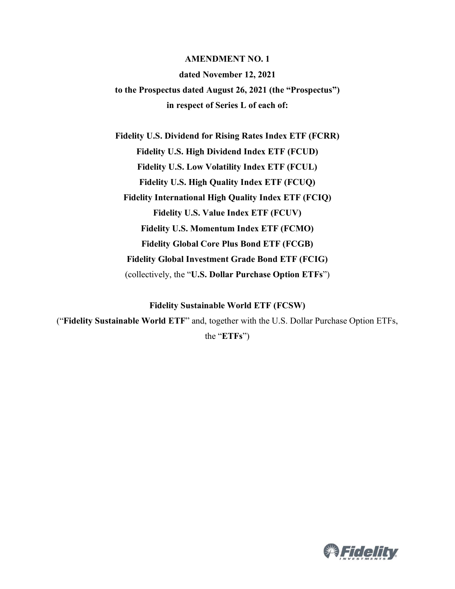#### **AMENDMENT NO. 1**

#### **dated November 12, 2021**

**to the Prospectus dated August 26, 2021 (the "Prospectus") in respect of Series L of each of:**

**Fidelity U.S. Dividend for Rising Rates Index ETF (FCRR) Fidelity U.S. High Dividend Index ETF (FCUD) Fidelity U.S. Low Volatility Index ETF (FCUL) Fidelity U.S. High Quality Index ETF (FCUQ) Fidelity International High Quality Index ETF (FCIQ) Fidelity U.S. Value Index ETF (FCUV) Fidelity U.S. Momentum Index ETF (FCMO) Fidelity Global Core Plus Bond ETF (FCGB) Fidelity Global Investment Grade Bond ETF (FCIG)** (collectively, the "**U.S. Dollar Purchase Option ETFs**")

**Fidelity Sustainable World ETF (FCSW)**

("**Fidelity Sustainable World ETF**" and, together with the U.S. Dollar Purchase Option ETFs,

the "**ETFs**")

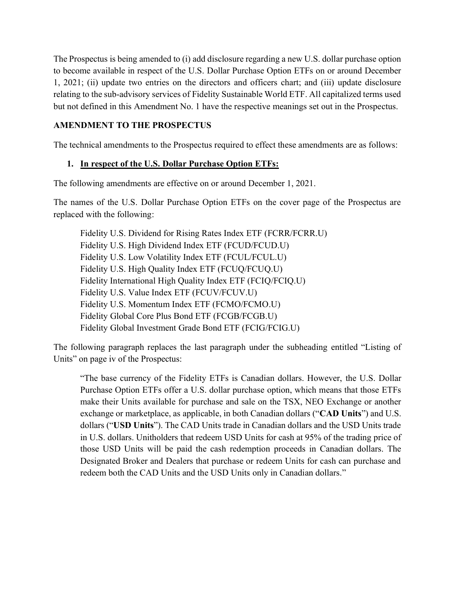The Prospectus is being amended to (i) add disclosure regarding a new U.S. dollar purchase option to become available in respect of the U.S. Dollar Purchase Option ETFs on or around December 1, 2021; (ii) update two entries on the directors and officers chart; and (iii) update disclosure relating to the sub-advisory services of Fidelity Sustainable World ETF. All capitalized terms used but not defined in this Amendment No. 1 have the respective meanings set out in the Prospectus.

### **AMENDMENT TO THE PROSPECTUS**

The technical amendments to the Prospectus required to effect these amendments are as follows:

# **1. In respect of the U.S. Dollar Purchase Option ETFs:**

The following amendments are effective on or around December 1, 2021.

The names of the U.S. Dollar Purchase Option ETFs on the cover page of the Prospectus are replaced with the following:

Fidelity U.S. Dividend for Rising Rates Index ETF (FCRR/FCRR.U) Fidelity U.S. High Dividend Index ETF (FCUD/FCUD.U) Fidelity U.S. Low Volatility Index ETF (FCUL/FCUL.U) Fidelity U.S. High Quality Index ETF (FCUQ/FCUQ.U) Fidelity International High Quality Index ETF (FCIQ/FCIQ.U) Fidelity U.S. Value Index ETF (FCUV/FCUV.U) Fidelity U.S. Momentum Index ETF (FCMO/FCMO.U) Fidelity Global Core Plus Bond ETF (FCGB/FCGB.U) Fidelity Global Investment Grade Bond ETF (FCIG/FCIG.U)

The following paragraph replaces the last paragraph under the subheading entitled "Listing of Units" on page iv of the Prospectus:

"The base currency of the Fidelity ETFs is Canadian dollars. However, the U.S. Dollar Purchase Option ETFs offer a U.S. dollar purchase option, which means that those ETFs make their Units available for purchase and sale on the TSX, NEO Exchange or another exchange or marketplace, as applicable, in both Canadian dollars ("**CAD Units**") and U.S. dollars ("**USD Units**"). The CAD Units trade in Canadian dollars and the USD Units trade in U.S. dollars. Unitholders that redeem USD Units for cash at 95% of the trading price of those USD Units will be paid the cash redemption proceeds in Canadian dollars. The Designated Broker and Dealers that purchase or redeem Units for cash can purchase and redeem both the CAD Units and the USD Units only in Canadian dollars."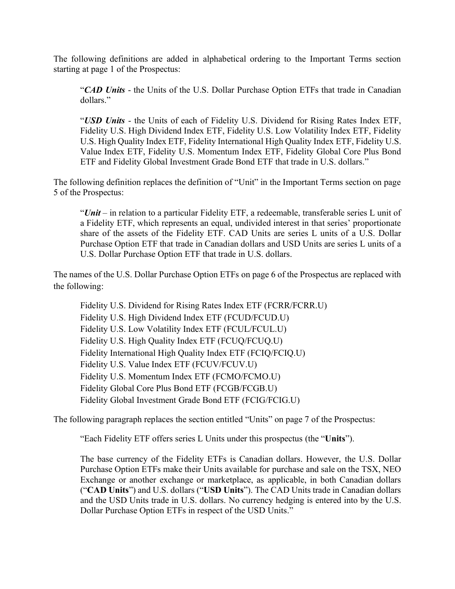The following definitions are added in alphabetical ordering to the Important Terms section starting at page 1 of the Prospectus:

"*CAD Units* - the Units of the U.S. Dollar Purchase Option ETFs that trade in Canadian dollars."

"*USD Units* - the Units of each of Fidelity U.S. Dividend for Rising Rates Index ETF, Fidelity U.S. High Dividend Index ETF, Fidelity U.S. Low Volatility Index ETF, Fidelity U.S. High Quality Index ETF, Fidelity International High Quality Index ETF, Fidelity U.S. Value Index ETF, Fidelity U.S. Momentum Index ETF, Fidelity Global Core Plus Bond ETF and Fidelity Global Investment Grade Bond ETF that trade in U.S. dollars."

The following definition replaces the definition of "Unit" in the Important Terms section on page 5 of the Prospectus:

"*Unit* – in relation to a particular Fidelity ETF, a redeemable, transferable series L unit of a Fidelity ETF, which represents an equal, undivided interest in that series' proportionate share of the assets of the Fidelity ETF. CAD Units are series L units of a U.S. Dollar Purchase Option ETF that trade in Canadian dollars and USD Units are series L units of a U.S. Dollar Purchase Option ETF that trade in U.S. dollars.

The names of the U.S. Dollar Purchase Option ETFs on page 6 of the Prospectus are replaced with the following:

Fidelity U.S. Dividend for Rising Rates Index ETF (FCRR/FCRR.U) Fidelity U.S. High Dividend Index ETF (FCUD/FCUD.U) Fidelity U.S. Low Volatility Index ETF (FCUL/FCUL.U) Fidelity U.S. High Quality Index ETF (FCUQ/FCUQ.U) Fidelity International High Quality Index ETF (FCIQ/FCIQ.U) Fidelity U.S. Value Index ETF (FCUV/FCUV.U) Fidelity U.S. Momentum Index ETF (FCMO/FCMO.U) Fidelity Global Core Plus Bond ETF (FCGB/FCGB.U) Fidelity Global Investment Grade Bond ETF (FCIG/FCIG.U)

The following paragraph replaces the section entitled "Units" on page 7 of the Prospectus:

"Each Fidelity ETF offers series L Units under this prospectus (the "**Units**").

The base currency of the Fidelity ETFs is Canadian dollars. However, the U.S. Dollar Purchase Option ETFs make their Units available for purchase and sale on the TSX, NEO Exchange or another exchange or marketplace, as applicable, in both Canadian dollars ("**CAD Units**") and U.S. dollars ("**USD Units**"). The CAD Units trade in Canadian dollars and the USD Units trade in U.S. dollars. No currency hedging is entered into by the U.S. Dollar Purchase Option ETFs in respect of the USD Units."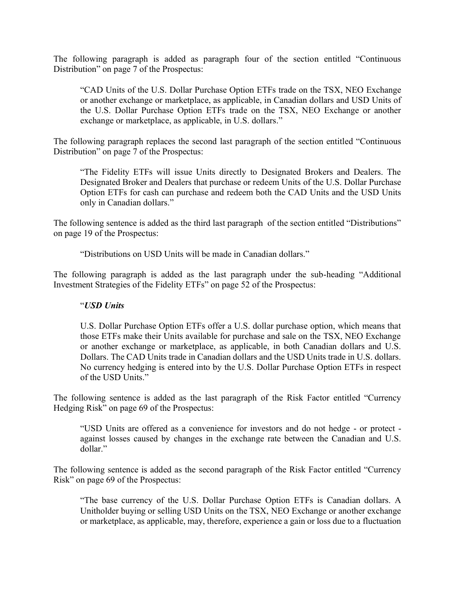The following paragraph is added as paragraph four of the section entitled "Continuous Distribution" on page 7 of the Prospectus:

"CAD Units of the U.S. Dollar Purchase Option ETFs trade on the TSX, NEO Exchange or another exchange or marketplace, as applicable, in Canadian dollars and USD Units of the U.S. Dollar Purchase Option ETFs trade on the TSX, NEO Exchange or another exchange or marketplace, as applicable, in U.S. dollars."

The following paragraph replaces the second last paragraph of the section entitled "Continuous Distribution" on page 7 of the Prospectus:

"The Fidelity ETFs will issue Units directly to Designated Brokers and Dealers. The Designated Broker and Dealers that purchase or redeem Units of the U.S. Dollar Purchase Option ETFs for cash can purchase and redeem both the CAD Units and the USD Units only in Canadian dollars."

The following sentence is added as the third last paragraph of the section entitled "Distributions" on page 19 of the Prospectus:

"Distributions on USD Units will be made in Canadian dollars."

The following paragraph is added as the last paragraph under the sub-heading "Additional Investment Strategies of the Fidelity ETFs" on page 52 of the Prospectus:

#### "*USD Units*

U.S. Dollar Purchase Option ETFs offer a U.S. dollar purchase option, which means that those ETFs make their Units available for purchase and sale on the TSX, NEO Exchange or another exchange or marketplace, as applicable, in both Canadian dollars and U.S. Dollars. The CAD Units trade in Canadian dollars and the USD Units trade in U.S. dollars. No currency hedging is entered into by the U.S. Dollar Purchase Option ETFs in respect of the USD Units."

The following sentence is added as the last paragraph of the Risk Factor entitled "Currency Hedging Risk" on page 69 of the Prospectus:

"USD Units are offered as a convenience for investors and do not hedge - or protect against losses caused by changes in the exchange rate between the Canadian and U.S. dollar."

The following sentence is added as the second paragraph of the Risk Factor entitled "Currency Risk" on page 69 of the Prospectus:

"The base currency of the U.S. Dollar Purchase Option ETFs is Canadian dollars. A Unitholder buying or selling USD Units on the TSX, NEO Exchange or another exchange or marketplace, as applicable, may, therefore, experience a gain or loss due to a fluctuation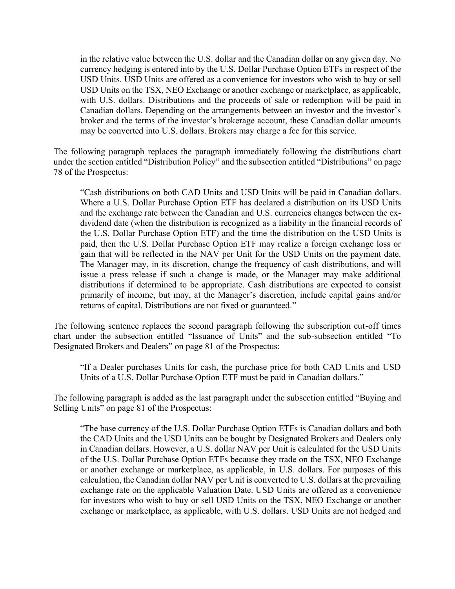in the relative value between the U.S. dollar and the Canadian dollar on any given day. No currency hedging is entered into by the U.S. Dollar Purchase Option ETFs in respect of the USD Units. USD Units are offered as a convenience for investors who wish to buy or sell USD Units on the TSX, NEO Exchange or another exchange or marketplace, as applicable, with U.S. dollars. Distributions and the proceeds of sale or redemption will be paid in Canadian dollars. Depending on the arrangements between an investor and the investor's broker and the terms of the investor's brokerage account, these Canadian dollar amounts may be converted into U.S. dollars. Brokers may charge a fee for this service.

The following paragraph replaces the paragraph immediately following the distributions chart under the section entitled "Distribution Policy" and the subsection entitled "Distributions" on page 78 of the Prospectus:

"Cash distributions on both CAD Units and USD Units will be paid in Canadian dollars. Where a U.S. Dollar Purchase Option ETF has declared a distribution on its USD Units and the exchange rate between the Canadian and U.S. currencies changes between the exdividend date (when the distribution is recognized as a liability in the financial records of the U.S. Dollar Purchase Option ETF) and the time the distribution on the USD Units is paid, then the U.S. Dollar Purchase Option ETF may realize a foreign exchange loss or gain that will be reflected in the NAV per Unit for the USD Units on the payment date. The Manager may, in its discretion, change the frequency of cash distributions, and will issue a press release if such a change is made, or the Manager may make additional distributions if determined to be appropriate. Cash distributions are expected to consist primarily of income, but may, at the Manager's discretion, include capital gains and/or returns of capital. Distributions are not fixed or guaranteed."

The following sentence replaces the second paragraph following the subscription cut-off times chart under the subsection entitled "Issuance of Units" and the sub-subsection entitled "To Designated Brokers and Dealers" on page 81 of the Prospectus:

"If a Dealer purchases Units for cash, the purchase price for both CAD Units and USD Units of a U.S. Dollar Purchase Option ETF must be paid in Canadian dollars."

The following paragraph is added as the last paragraph under the subsection entitled "Buying and Selling Units" on page 81 of the Prospectus:

"The base currency of the U.S. Dollar Purchase Option ETFs is Canadian dollars and both the CAD Units and the USD Units can be bought by Designated Brokers and Dealers only in Canadian dollars. However, a U.S. dollar NAV per Unit is calculated for the USD Units of the U.S. Dollar Purchase Option ETFs because they trade on the TSX, NEO Exchange or another exchange or marketplace, as applicable, in U.S. dollars. For purposes of this calculation, the Canadian dollar NAV per Unit is converted to U.S. dollars at the prevailing exchange rate on the applicable Valuation Date. USD Units are offered as a convenience for investors who wish to buy or sell USD Units on the TSX, NEO Exchange or another exchange or marketplace, as applicable, with U.S. dollars. USD Units are not hedged and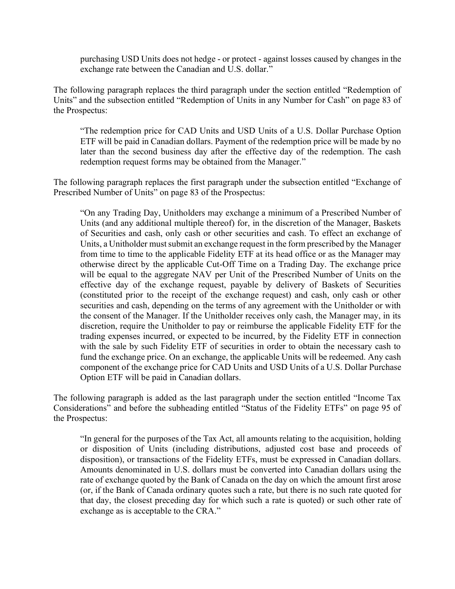purchasing USD Units does not hedge - or protect - against losses caused by changes in the exchange rate between the Canadian and U.S. dollar."

The following paragraph replaces the third paragraph under the section entitled "Redemption of Units" and the subsection entitled "Redemption of Units in any Number for Cash" on page 83 of the Prospectus:

"The redemption price for CAD Units and USD Units of a U.S. Dollar Purchase Option ETF will be paid in Canadian dollars. Payment of the redemption price will be made by no later than the second business day after the effective day of the redemption. The cash redemption request forms may be obtained from the Manager."

The following paragraph replaces the first paragraph under the subsection entitled "Exchange of Prescribed Number of Units" on page 83 of the Prospectus:

"On any Trading Day, Unitholders may exchange a minimum of a Prescribed Number of Units (and any additional multiple thereof) for, in the discretion of the Manager, Baskets of Securities and cash, only cash or other securities and cash. To effect an exchange of Units, a Unitholder must submit an exchange request in the form prescribed by the Manager from time to time to the applicable Fidelity ETF at its head office or as the Manager may otherwise direct by the applicable Cut-Off Time on a Trading Day. The exchange price will be equal to the aggregate NAV per Unit of the Prescribed Number of Units on the effective day of the exchange request, payable by delivery of Baskets of Securities (constituted prior to the receipt of the exchange request) and cash, only cash or other securities and cash, depending on the terms of any agreement with the Unitholder or with the consent of the Manager. If the Unitholder receives only cash, the Manager may, in its discretion, require the Unitholder to pay or reimburse the applicable Fidelity ETF for the trading expenses incurred, or expected to be incurred, by the Fidelity ETF in connection with the sale by such Fidelity ETF of securities in order to obtain the necessary cash to fund the exchange price. On an exchange, the applicable Units will be redeemed. Any cash component of the exchange price for CAD Units and USD Units of a U.S. Dollar Purchase Option ETF will be paid in Canadian dollars.

The following paragraph is added as the last paragraph under the section entitled "Income Tax Considerations" and before the subheading entitled "Status of the Fidelity ETFs" on page 95 of the Prospectus:

"In general for the purposes of the Tax Act, all amounts relating to the acquisition, holding or disposition of Units (including distributions, adjusted cost base and proceeds of disposition), or transactions of the Fidelity ETFs, must be expressed in Canadian dollars. Amounts denominated in U.S. dollars must be converted into Canadian dollars using the rate of exchange quoted by the Bank of Canada on the day on which the amount first arose (or, if the Bank of Canada ordinary quotes such a rate, but there is no such rate quoted for that day, the closest preceding day for which such a rate is quoted) or such other rate of exchange as is acceptable to the CRA."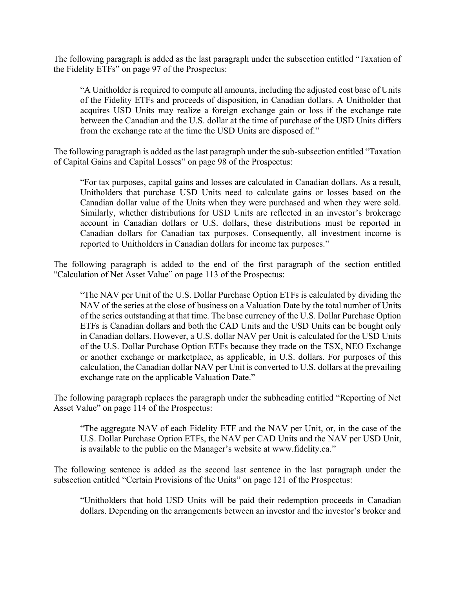The following paragraph is added as the last paragraph under the subsection entitled "Taxation of the Fidelity ETFs" on page 97 of the Prospectus:

"A Unitholder is required to compute all amounts, including the adjusted cost base of Units of the Fidelity ETFs and proceeds of disposition, in Canadian dollars. A Unitholder that acquires USD Units may realize a foreign exchange gain or loss if the exchange rate between the Canadian and the U.S. dollar at the time of purchase of the USD Units differs from the exchange rate at the time the USD Units are disposed of."

The following paragraph is added as the last paragraph under the sub-subsection entitled "Taxation of Capital Gains and Capital Losses" on page 98 of the Prospectus:

"For tax purposes, capital gains and losses are calculated in Canadian dollars. As a result, Unitholders that purchase USD Units need to calculate gains or losses based on the Canadian dollar value of the Units when they were purchased and when they were sold. Similarly, whether distributions for USD Units are reflected in an investor's brokerage account in Canadian dollars or U.S. dollars, these distributions must be reported in Canadian dollars for Canadian tax purposes. Consequently, all investment income is reported to Unitholders in Canadian dollars for income tax purposes."

The following paragraph is added to the end of the first paragraph of the section entitled "Calculation of Net Asset Value" on page 113 of the Prospectus:

"The NAV per Unit of the U.S. Dollar Purchase Option ETFs is calculated by dividing the NAV of the series at the close of business on a Valuation Date by the total number of Units of the series outstanding at that time. The base currency of the U.S. Dollar Purchase Option ETFs is Canadian dollars and both the CAD Units and the USD Units can be bought only in Canadian dollars. However, a U.S. dollar NAV per Unit is calculated for the USD Units of the U.S. Dollar Purchase Option ETFs because they trade on the TSX, NEO Exchange or another exchange or marketplace, as applicable, in U.S. dollars. For purposes of this calculation, the Canadian dollar NAV per Unit is converted to U.S. dollars at the prevailing exchange rate on the applicable Valuation Date."

The following paragraph replaces the paragraph under the subheading entitled "Reporting of Net Asset Value" on page 114 of the Prospectus:

"The aggregate NAV of each Fidelity ETF and the NAV per Unit, or, in the case of the U.S. Dollar Purchase Option ETFs, the NAV per CAD Units and the NAV per USD Unit, is available to the public on the Manager's website at www.fidelity.ca."

The following sentence is added as the second last sentence in the last paragraph under the subsection entitled "Certain Provisions of the Units" on page 121 of the Prospectus:

"Unitholders that hold USD Units will be paid their redemption proceeds in Canadian dollars. Depending on the arrangements between an investor and the investor's broker and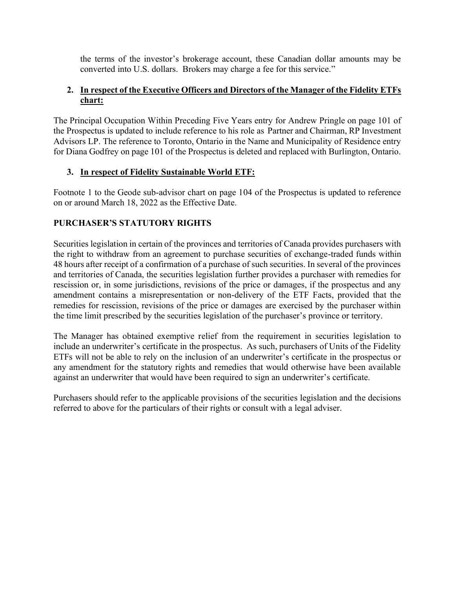the terms of the investor's brokerage account, these Canadian dollar amounts may be converted into U.S. dollars. Brokers may charge a fee for this service."

## **2. In respect of the Executive Officers and Directors of the Manager of the Fidelity ETFs chart:**

The Principal Occupation Within Preceding Five Years entry for Andrew Pringle on page 101 of the Prospectus is updated to include reference to his role as Partner and Chairman, RP Investment Advisors LP. The reference to Toronto, Ontario in the Name and Municipality of Residence entry for Diana Godfrey on page 101 of the Prospectus is deleted and replaced with Burlington, Ontario.

## **3. In respect of Fidelity Sustainable World ETF:**

Footnote 1 to the Geode sub-advisor chart on page 104 of the Prospectus is updated to reference on or around March 18, 2022 as the Effective Date.

## **PURCHASER'S STATUTORY RIGHTS**

Securities legislation in certain of the provinces and territories of Canada provides purchasers with the right to withdraw from an agreement to purchase securities of exchange-traded funds within 48 hours after receipt of a confirmation of a purchase of such securities. In several of the provinces and territories of Canada, the securities legislation further provides a purchaser with remedies for rescission or, in some jurisdictions, revisions of the price or damages, if the prospectus and any amendment contains a misrepresentation or non-delivery of the ETF Facts, provided that the remedies for rescission, revisions of the price or damages are exercised by the purchaser within the time limit prescribed by the securities legislation of the purchaser's province or territory.

The Manager has obtained exemptive relief from the requirement in securities legislation to include an underwriter's certificate in the prospectus. As such, purchasers of Units of the Fidelity ETFs will not be able to rely on the inclusion of an underwriter's certificate in the prospectus or any amendment for the statutory rights and remedies that would otherwise have been available against an underwriter that would have been required to sign an underwriter's certificate.

Purchasers should refer to the applicable provisions of the securities legislation and the decisions referred to above for the particulars of their rights or consult with a legal adviser.